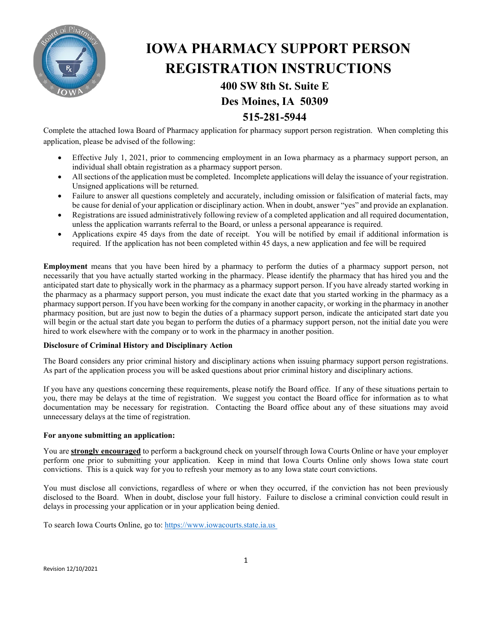

# **IOWA PHARMACY SUPPORT PERSON REGISTRATION INSTRUCTIONS**

## **400 SW 8th St. Suite E Des Moines, IA 50309**

### **515-281-5944**

Complete the attached Iowa Board of Pharmacy application for pharmacy support person registration. When completing this application, please be advised of the following:

- Effective July 1, 2021, prior to commencing employment in an Iowa pharmacy as a pharmacy support person, an individual shall obtain registration as a pharmacy support person.
- All sections of the application must be completed. Incomplete applications will delay the issuance of your registration. Unsigned applications will be returned.
- Failure to answer all questions completely and accurately, including omission or falsification of material facts, may be cause for denial of your application or disciplinary action. When in doubt, answer "yes" and provide an explanation.
- Registrations are issued administratively following review of a completed application and all required documentation, unless the application warrants referral to the Board, or unless a personal appearance is required.
- Applications expire 45 days from the date of receipt. You will be notified by email if additional information is required. If the application has not been completed within 45 days, a new application and fee will be required

**Employment** means that you have been hired by a pharmacy to perform the duties of a pharmacy support person, not necessarily that you have actually started working in the pharmacy. Please identify the pharmacy that has hired you and the anticipated start date to physically work in the pharmacy as a pharmacy support person. If you have already started working in the pharmacy as a pharmacy support person, you must indicate the exact date that you started working in the pharmacy as a pharmacy support person. If you have been working for the company in another capacity, or working in the pharmacy in another pharmacy position, but are just now to begin the duties of a pharmacy support person, indicate the anticipated start date you will begin or the actual start date you began to perform the duties of a pharmacy support person, not the initial date you were hired to work elsewhere with the company or to work in the pharmacy in another position.

#### **Disclosure of Criminal History and Disciplinary Action**

The Board considers any prior criminal history and disciplinary actions when issuing pharmacy support person registrations. As part of the application process you will be asked questions about prior criminal history and disciplinary actions.

If you have any questions concerning these requirements, please notify the Board office. If any of these situations pertain to you, there may be delays at the time of registration. We suggest you contact the Board office for information as to what documentation may be necessary for registration. Contacting the Board office about any of these situations may avoid unnecessary delays at the time of registration.

#### **For anyone submitting an application:**

You are **strongly encouraged** to perform a background check on yourself through Iowa Courts Online or have your employer perform one prior to submitting your application. Keep in mind that Iowa Courts Online only shows Iowa state court convictions. This is a quick way for you to refresh your memory as to any Iowa state court convictions.

You must disclose all convictions, regardless of where or when they occurred, if the conviction has not been previously disclosed to the Board. When in doubt, disclose your full history. Failure to disclose a criminal conviction could result in delays in processing your application or in your application being denied.

To search Iowa Courts Online, go to: https://www.iowacourts.state.ia.us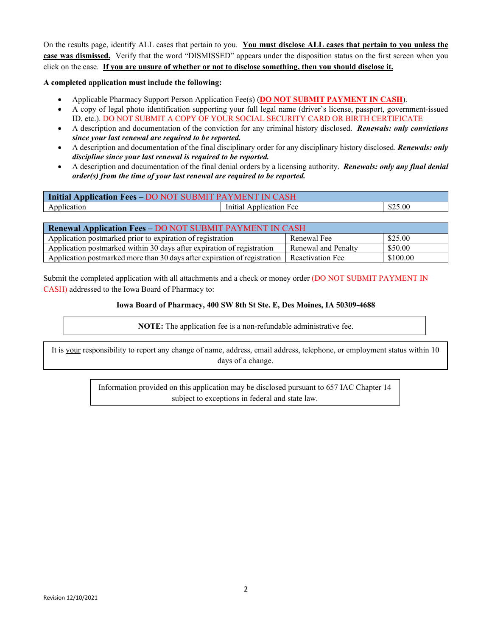On the results page, identify ALL cases that pertain to you. **You must disclose ALL cases that pertain to you unless the case was dismissed.** Verify that the word "DISMISSED" appears under the disposition status on the first screen when you click on the case. **If you are unsure of whether or not to disclose something, then you should disclose it.**

#### **A completed application must include the following:**

- Applicable Pharmacy Support Person Application Fee(s) (**DO NOT SUBMIT PAYMENT IN CASH**).
- A copy of legal photo identification supporting your full legal name (driver's license, passport, government-issued ID, etc.). DO NOT SUBMIT A COPY OF YOUR SOCIAL SECURITY CARD OR BIRTH CERTIFICATE
- A description and documentation of the conviction for any criminal history disclosed. *Renewals: only convictions since your last renewal are required to be reported.*
- A description and documentation of the final disciplinary order for any disciplinary history disclosed. *Renewals: only discipline since your last renewal is required to be reported.*
- A description and documentation of the final denial orders by a licensing authority. *Renewals: only any final denial order(s) from the time of your last renewal are required to be reported.*

| Initial Application Fees - DO NOT SUBMIT PAYMENT IN CASH |                         |         |  |  |  |
|----------------------------------------------------------|-------------------------|---------|--|--|--|
| Application                                              | Initial Application Fee | \$25.00 |  |  |  |

| <b>Renewal Application Fees - DO NOT SUBMIT PAYMENT IN CASH</b>           |                     |          |  |  |  |
|---------------------------------------------------------------------------|---------------------|----------|--|--|--|
| Application postmarked prior to expiration of registration                | Renewal Fee         | \$25.00  |  |  |  |
| Application postmarked within 30 days after expiration of registration    | Renewal and Penalty | \$50.00  |  |  |  |
| Application postmarked more than 30 days after expiration of registration | Reactivation Fee    | \$100.00 |  |  |  |

Submit the completed application with all attachments and a check or money order (DO NOT SUBMIT PAYMENT IN CASH) addressed to the Iowa Board of Pharmacy to:

#### **Iowa Board of Pharmacy, 400 SW 8th St Ste. E, Des Moines, IA 50309-4688**

**NOTE:** The application fee is a non-refundable administrative fee.

It is your responsibility to report any change of name, address, email address, telephone, or employment status within 10 days of a change.

> Information provided on this application may be disclosed pursuant to 657 IAC Chapter 14 subject to exceptions in federal and state law.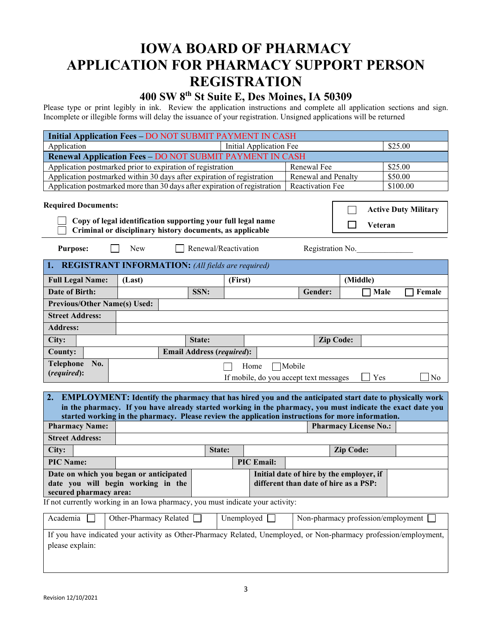## **IOWA BOARD OF PHARMACY APPLICATION FOR PHARMACY SUPPORT PERSON REGISTRATION**

## **400 SW 8th St Suite E, Des Moines, IA 50309**

Please type or print legibly in ink. Review the application instructions and complete all application sections and sign. Incomplete or illegible forms will delay the issuance of your registration. Unsigned applications will be returned

| <b>Initial Application Fees - DO NOT SUBMIT PAYMENT IN CASH</b>                                                                                                                                                                                                                                                                        |            |                                  |                      |                   |                                                  |                              |                |
|----------------------------------------------------------------------------------------------------------------------------------------------------------------------------------------------------------------------------------------------------------------------------------------------------------------------------------------|------------|----------------------------------|----------------------|-------------------|--------------------------------------------------|------------------------------|----------------|
| \$25.00<br>Application<br>Initial Application Fee                                                                                                                                                                                                                                                                                      |            |                                  |                      |                   |                                                  |                              |                |
| Renewal Application Fees - DO NOT SUBMIT PAYMENT IN CASH                                                                                                                                                                                                                                                                               |            |                                  |                      |                   |                                                  |                              |                |
| Application postmarked prior to expiration of registration                                                                                                                                                                                                                                                                             |            |                                  |                      |                   | Renewal Fee                                      |                              | \$25.00        |
| Application postmarked within 30 days after expiration of registration                                                                                                                                                                                                                                                                 |            |                                  |                      |                   | Renewal and Penalty                              |                              | \$50.00        |
| Application postmarked more than 30 days after expiration of registration                                                                                                                                                                                                                                                              |            |                                  |                      |                   | Reactivation Fee                                 |                              | \$100.00       |
| <b>Required Documents:</b><br><b>Active Duty Military</b><br>Copy of legal identification supporting your full legal name<br>Veteran<br>Criminal or disciplinary history documents, as applicable                                                                                                                                      |            |                                  |                      |                   |                                                  |                              |                |
| <b>Purpose:</b>                                                                                                                                                                                                                                                                                                                        | <b>New</b> |                                  | Renewal/Reactivation |                   | Registration No.                                 |                              |                |
| 1. REGISTRANT INFORMATION: (All fields are required)                                                                                                                                                                                                                                                                                   |            |                                  |                      |                   |                                                  |                              |                |
| <b>Full Legal Name:</b>                                                                                                                                                                                                                                                                                                                | (Last)     |                                  |                      | (First)           |                                                  | (Middle)                     |                |
| <b>Date of Birth:</b>                                                                                                                                                                                                                                                                                                                  |            | SSN:                             |                      |                   | Gender:                                          |                              | Female<br>Male |
| <b>Previous/Other Name(s) Used:</b>                                                                                                                                                                                                                                                                                                    |            |                                  |                      |                   |                                                  |                              |                |
| <b>Street Address:</b>                                                                                                                                                                                                                                                                                                                 |            |                                  |                      |                   |                                                  |                              |                |
| <b>Address:</b>                                                                                                                                                                                                                                                                                                                        |            |                                  |                      |                   |                                                  |                              |                |
| City:                                                                                                                                                                                                                                                                                                                                  |            | State:                           |                      |                   |                                                  | <b>Zip Code:</b>             |                |
| <b>County:</b>                                                                                                                                                                                                                                                                                                                         |            | <b>Email Address (required):</b> |                      |                   |                                                  |                              |                |
| <b>Telephone</b><br>No.<br>(required):                                                                                                                                                                                                                                                                                                 |            |                                  |                      | Home              | Mobile<br>If mobile, do you accept text messages |                              | Yes<br>No      |
| 2.<br><b>EMPLOYMENT:</b> Identify the pharmacy that has hired you and the anticipated start date to physically work<br>in the pharmacy. If you have already started working in the pharmacy, you must indicate the exact date you<br>started working in the pharmacy. Please review the application instructions for more information. |            |                                  |                      |                   |                                                  |                              |                |
| <b>Pharmacy Name:</b>                                                                                                                                                                                                                                                                                                                  |            |                                  |                      |                   |                                                  | <b>Pharmacy License No.:</b> |                |
| <b>Street Address:</b>                                                                                                                                                                                                                                                                                                                 |            |                                  |                      |                   |                                                  |                              |                |
| City:                                                                                                                                                                                                                                                                                                                                  |            |                                  | State:               |                   |                                                  | <b>Zip Code:</b>             |                |
| <b>PIC Name:</b>                                                                                                                                                                                                                                                                                                                       |            |                                  |                      | <b>PIC Email:</b> |                                                  |                              |                |
| Date on which you began or anticipated<br>Initial date of hire by the employer, if<br>date you will begin working in the<br>different than date of hire as a PSP:<br>secured pharmacy area:                                                                                                                                            |            |                                  |                      |                   |                                                  |                              |                |
| If not currently working in an Iowa pharmacy, you must indicate your activity:                                                                                                                                                                                                                                                         |            |                                  |                      |                   |                                                  |                              |                |
| Academia<br>Other-Pharmacy Related<br>Unemployed $\Box$<br>Non-pharmacy profession/employment [                                                                                                                                                                                                                                        |            |                                  |                      |                   |                                                  |                              |                |
| If you have indicated your activity as Other-Pharmacy Related, Unemployed, or Non-pharmacy profession/employment,<br>please explain:                                                                                                                                                                                                   |            |                                  |                      |                   |                                                  |                              |                |